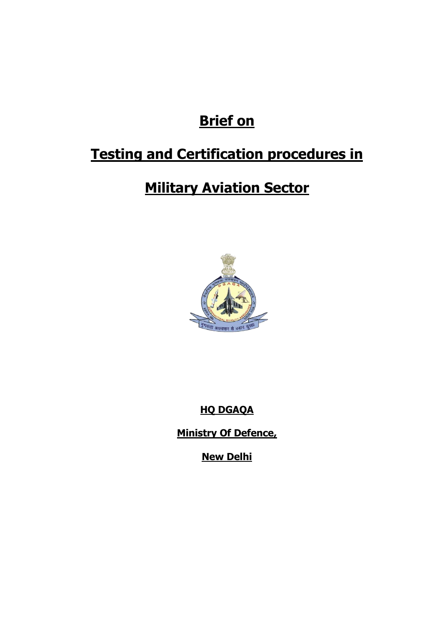# **Brief on**

# **Testing and Certification procedures in**

# **Military Aviation Sector**



**HQ DGAQA**

**Ministry Of Defence,**

**New Delhi**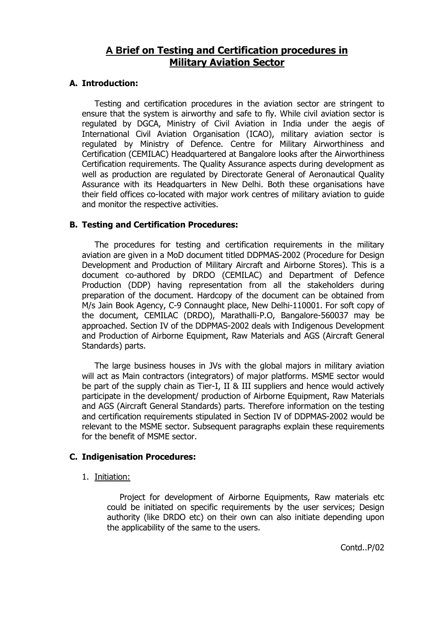## **A Brief on Testing and Certification procedures in Military Aviation Sector**

#### **A. Introduction:**

Testing and certification procedures in the aviation sector are stringent to ensure that the system is airworthy and safe to fly. While civil aviation sector is regulated by DGCA, Ministry of Civil Aviation in India under the aegis of International Civil Aviation Organisation (ICAO), military aviation sector is regulated by Ministry of Defence. Centre for Military Airworthiness and Certification (CEMILAC) Headquartered at Bangalore looks after the Airworthiness Certification requirements. The Quality Assurance aspects during development as well as production are regulated by Directorate General of Aeronautical Quality Assurance with its Headquarters in New Delhi. Both these organisations have their field offices co-located with major work centres of military aviation to guide and monitor the respective activities.

#### **B. Testing and Certification Procedures:**

The procedures for testing and certification requirements in the military aviation are given in a MoD document titled DDPMAS-2002 (Procedure for Design Development and Production of Military Aircraft and Airborne Stores). This is a document co-authored by DRDO (CEMILAC) and Department of Defence Production (DDP) having representation from all the stakeholders during preparation of the document. Hardcopy of the document can be obtained from M/s Jain Book Agency, C-9 Connaught place, New Delhi-110001. For soft copy of the document, CEMILAC (DRDO), Marathalli-P.O, Bangalore-560037 may be approached. Section IV of the DDPMAS-2002 deals with Indigenous Development and Production of Airborne Equipment, Raw Materials and AGS (Aircraft General Standards) parts.

The large business houses in JVs with the global majors in military aviation will act as Main contractors (integrators) of major platforms. MSME sector would be part of the supply chain as Tier-I, II & III suppliers and hence would actively participate in the development/ production of Airborne Equipment, Raw Materials and AGS (Aircraft General Standards) parts. Therefore information on the testing and certification requirements stipulated in Section IV of DDPMAS-2002 would be relevant to the MSME sector. Subsequent paragraphs explain these requirements for the benefit of MSME sector.

#### **C. Indigenisation Procedures:**

1. Initiation:

Project for development of Airborne Equipments, Raw materials etc could be initiated on specific requirements by the user services; Design authority (like DRDO etc) on their own can also initiate depending upon the applicability of the same to the users.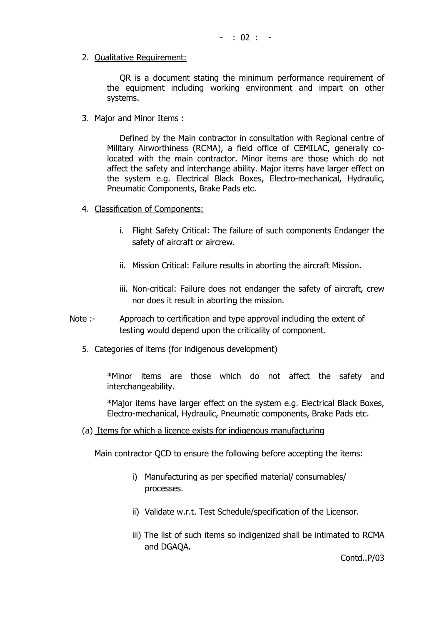2. Qualitative Requirement:

QR is a document stating the minimum performance requirement of the equipment including working environment and impart on other systems.

3. Major and Minor Items :

Defined by the Main contractor in consultation with Regional centre of Military Airworthiness (RCMA), a field office of CEMILAC, generally colocated with the main contractor. Minor items are those which do not affect the safety and interchange ability. Major items have larger effect on the system e.g. Electrical Black Boxes, Electro-mechanical, Hydraulic, Pneumatic Components, Brake Pads etc.

- 4. Classification of Components:
	- i. Flight Safety Critical: The failure of such components Endanger the safety of aircraft or aircrew.
	- ii. Mission Critical: Failure results in aborting the aircraft Mission.
	- iii. Non-critical: Failure does not endanger the safety of aircraft, crew nor does it result in aborting the mission.
- Note :- Approach to certification and type approval including the extent of testing would depend upon the criticality of component.
	- 5. Categories of items (for indigenous development)

\*Minor items are those which do not affect the safety and interchangeability.

\*Major items have larger effect on the system e.g. Electrical Black Boxes, Electro-mechanical, Hydraulic, Pneumatic components, Brake Pads etc.

(a) Items for which a licence exists for indigenous manufacturing

Main contractor QCD to ensure the following before accepting the items:

- i) Manufacturing as per specified material/ consumables/ processes.
- ii) Validate w.r.t. Test Schedule/specification of the Licensor.
- iii) The list of such items so indigenized shall be intimated to RCMA and DGAQA.

Contd..P/03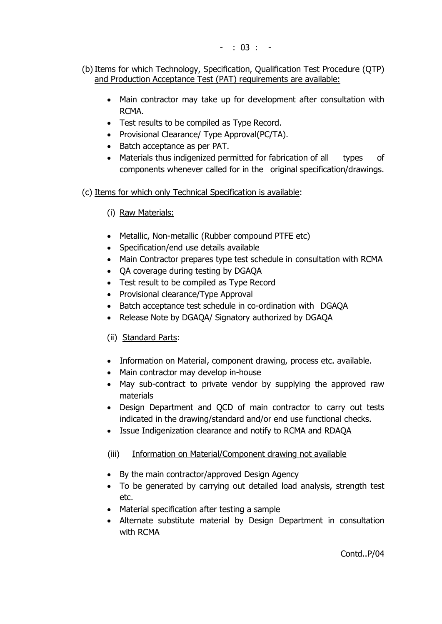- (b) Items for which Technology, Specification, Qualification Test Procedure (QTP) and Production Acceptance Test (PAT) requirements are available:
	- Main contractor may take up for development after consultation with RCMA.
	- Test results to be compiled as Type Record.
	- Provisional Clearance/ Type Approval(PC/TA).
	- Batch acceptance as per PAT.
	- Materials thus indigenized permitted for fabrication of all types of components whenever called for in the original specification/drawings.
- (c) Items for which only Technical Specification is available:
	- (i) Raw Materials:
	- Metallic, Non-metallic (Rubber compound PTFE etc)
	- Specification/end use details available
	- Main Contractor prepares type test schedule in consultation with RCMA
	- QA coverage during testing by DGAQA
	- Test result to be compiled as Type Record
	- Provisional clearance/Type Approval
	- Batch acceptance test schedule in co-ordination with DGAQA
	- Release Note by DGAQA/ Signatory authorized by DGAQA

### (ii) Standard Parts:

- Information on Material, component drawing, process etc. available.
- Main contractor may develop in-house
- May sub-contract to private vendor by supplying the approved raw materials
- Design Department and QCD of main contractor to carry out tests indicated in the drawing/standard and/or end use functional checks.
- Issue Indigenization clearance and notify to RCMA and RDAQA

### (iii) Information on Material/Component drawing not available

- By the main contractor/approved Design Agency
- To be generated by carrying out detailed load analysis, strength test etc.
- Material specification after testing a sample
- Alternate substitute material by Design Department in consultation with RCMA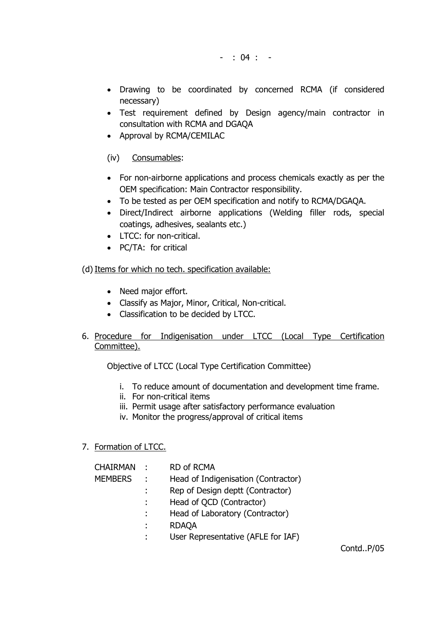- : 04 : -

- Drawing to be coordinated by concerned RCMA (if considered necessary)
- Test requirement defined by Design agency/main contractor in consultation with RCMA and DGAQA
- Approval by RCMA/CEMILAC

#### (iv) Consumables:

- For non-airborne applications and process chemicals exactly as per the OEM specification: Main Contractor responsibility.
- To be tested as per OEM specification and notify to RCMA/DGAQA.
- Direct/Indirect airborne applications (Welding filler rods, special coatings, adhesives, sealants etc.)
- LTCC: for non-critical.
- PC/TA: for critical

#### (d) Items for which no tech. specification available:

- Need major effort.
- Classify as Major, Minor, Critical, Non-critical.
- Classification to be decided by LTCC.
- 6. Procedure for Indigenisation under LTCC (Local Type Certification Committee).

Objective of LTCC (Local Type Certification Committee)

- i. To reduce amount of documentation and development time frame.
- ii. For non-critical items
- iii. Permit usage after satisfactory performance evaluation
- iv. Monitor the progress/approval of critical items

#### 7. Formation of LTCC.

| <b>CHAIRMAN</b> | - 11 -        | <b>RD of RCMA</b>                   |
|-----------------|---------------|-------------------------------------|
| <b>MEMBERS</b>  | $\mathcal{L}$ | Head of Indigenisation (Contractor) |
|                 |               | Rep of Design deptt (Contractor)    |
|                 |               | Head of QCD (Contractor)            |
|                 |               | Head of Laboratory (Contractor)     |
|                 |               | <b>RDAQA</b>                        |
|                 |               | User Representative (AFLE for IAF)  |

Contd..P/05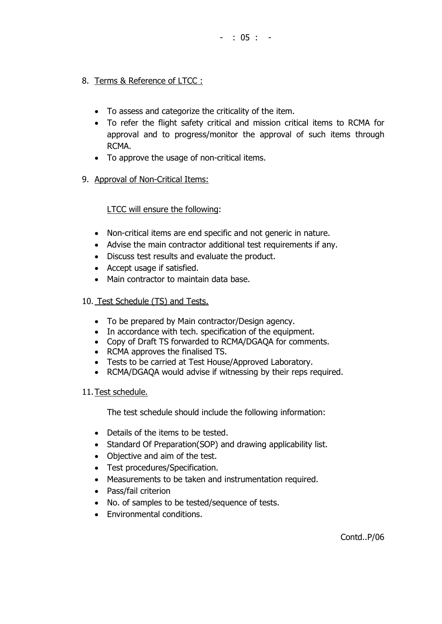- 8. Terms & Reference of LTCC :
	- To assess and categorize the criticality of the item.
	- To refer the flight safety critical and mission critical items to RCMA for approval and to progress/monitor the approval of such items through RCMA.
	- To approve the usage of non-critical items.
- 9. Approval of Non-Critical Items:

### LTCC will ensure the following:

- Non-critical items are end specific and not generic in nature.
- Advise the main contractor additional test requirements if any.
- Discuss test results and evaluate the product.
- Accept usage if satisfied.
- Main contractor to maintain data base.
- 10. Test Schedule (TS) and Tests.
	- To be prepared by Main contractor/Design agency.
	- In accordance with tech. specification of the equipment.
	- Copy of Draft TS forwarded to RCMA/DGAQA for comments.
	- RCMA approves the finalised TS.
	- Tests to be carried at Test House/Approved Laboratory.
	- RCMA/DGAQA would advise if witnessing by their reps required.

#### 11.Test schedule.

The test schedule should include the following information:

- Details of the items to be tested.
- Standard Of Preparation(SOP) and drawing applicability list.
- Objective and aim of the test.
- Test procedures/Specification.
- Measurements to be taken and instrumentation required.
- Pass/fail criterion
- No. of samples to be tested/sequence of tests.
- Environmental conditions.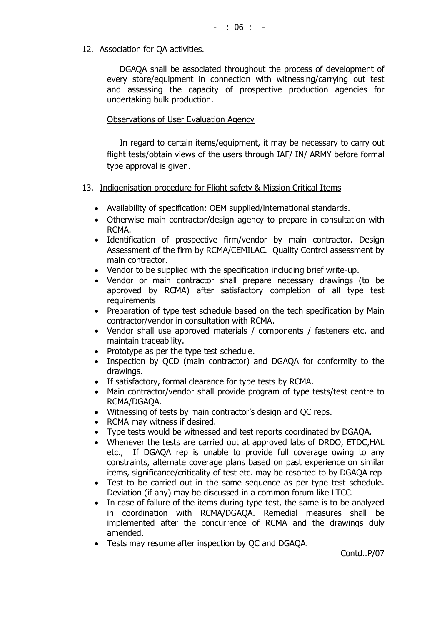#### 12. Association for QA activities.

DGAQA shall be associated throughout the process of development of every store/equipment in connection with witnessing/carrying out test and assessing the capacity of prospective production agencies for undertaking bulk production.

#### Observations of User Evaluation Agency

In regard to certain items/equipment, it may be necessary to carry out flight tests/obtain views of the users through IAF/ IN/ ARMY before formal type approval is given.

#### 13. Indigenisation procedure for Flight safety & Mission Critical Items

- Availability of specification: OEM supplied/international standards.
- Otherwise main contractor/design agency to prepare in consultation with RCMA.
- Identification of prospective firm/vendor by main contractor. Design Assessment of the firm by RCMA/CEMILAC. Quality Control assessment by main contractor.
- Vendor to be supplied with the specification including brief write-up.
- Vendor or main contractor shall prepare necessary drawings (to be approved by RCMA) after satisfactory completion of all type test requirements
- Preparation of type test schedule based on the tech specification by Main contractor/vendor in consultation with RCMA.
- Vendor shall use approved materials / components / fasteners etc. and maintain traceability.
- Prototype as per the type test schedule.
- Inspection by OCD (main contractor) and DGAQA for conformity to the drawings.
- If satisfactory, formal clearance for type tests by RCMA.
- Main contractor/vendor shall provide program of type tests/test centre to RCMA/DGAQA.
- Witnessing of tests by main contractor's design and QC reps.
- RCMA may witness if desired.
- Type tests would be witnessed and test reports coordinated by DGAQA.
- Whenever the tests are carried out at approved labs of DRDO, ETDC,HAL etc., If DGAQA rep is unable to provide full coverage owing to any constraints, alternate coverage plans based on past experience on similar items, significance/criticality of test etc. may be resorted to by DGAQA rep
- Test to be carried out in the same sequence as per type test schedule. Deviation (if any) may be discussed in a common forum like LTCC.
- In case of failure of the items during type test, the same is to be analyzed in coordination with RCMA/DGAQA. Remedial measures shall be implemented after the concurrence of RCMA and the drawings duly amended.
- Tests may resume after inspection by QC and DGAQA.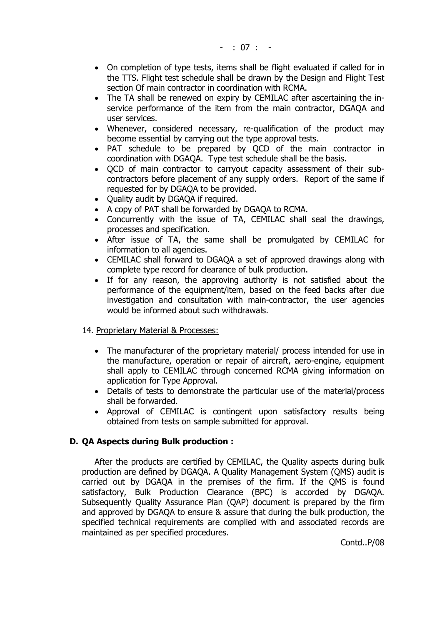- On completion of type tests, items shall be flight evaluated if called for in the TTS. Flight test schedule shall be drawn by the Design and Flight Test section Of main contractor in coordination with RCMA.
- The TA shall be renewed on expiry by CEMILAC after ascertaining the inservice performance of the item from the main contractor, DGAQA and user services.
- Whenever, considered necessary, re-qualification of the product may become essential by carrying out the type approval tests.
- PAT schedule to be prepared by QCD of the main contractor in coordination with DGAQA. Type test schedule shall be the basis.
- QCD of main contractor to carryout capacity assessment of their subcontractors before placement of any supply orders. Report of the same if requested for by DGAQA to be provided.
- Ouality audit by DGAOA if required.
- A copy of PAT shall be forwarded by DGAQA to RCMA.
- Concurrently with the issue of TA, CEMILAC shall seal the drawings, processes and specification.
- After issue of TA, the same shall be promulgated by CEMILAC for information to all agencies.
- CEMILAC shall forward to DGAQA a set of approved drawings along with complete type record for clearance of bulk production.
- If for any reason, the approving authority is not satisfied about the performance of the equipment/item, based on the feed backs after due investigation and consultation with main-contractor, the user agencies would be informed about such withdrawals.

#### 14. Proprietary Material & Processes:

- The manufacturer of the proprietary material/ process intended for use in the manufacture, operation or repair of aircraft, aero-engine, equipment shall apply to CEMILAC through concerned RCMA giving information on application for Type Approval.
- Details of tests to demonstrate the particular use of the material/process shall be forwarded.
- Approval of CEMILAC is contingent upon satisfactory results being obtained from tests on sample submitted for approval.

#### **D. QA Aspects during Bulk production :**

After the products are certified by CEMILAC, the Quality aspects during bulk production are defined by DGAQA. A Quality Management System (QMS) audit is carried out by DGAQA in the premises of the firm. If the QMS is found satisfactory, Bulk Production Clearance (BPC) is accorded by DGAQA. Subsequently Quality Assurance Plan (QAP) document is prepared by the firm and approved by DGAQA to ensure & assure that during the bulk production, the specified technical requirements are complied with and associated records are maintained as per specified procedures.

Contd..P/08